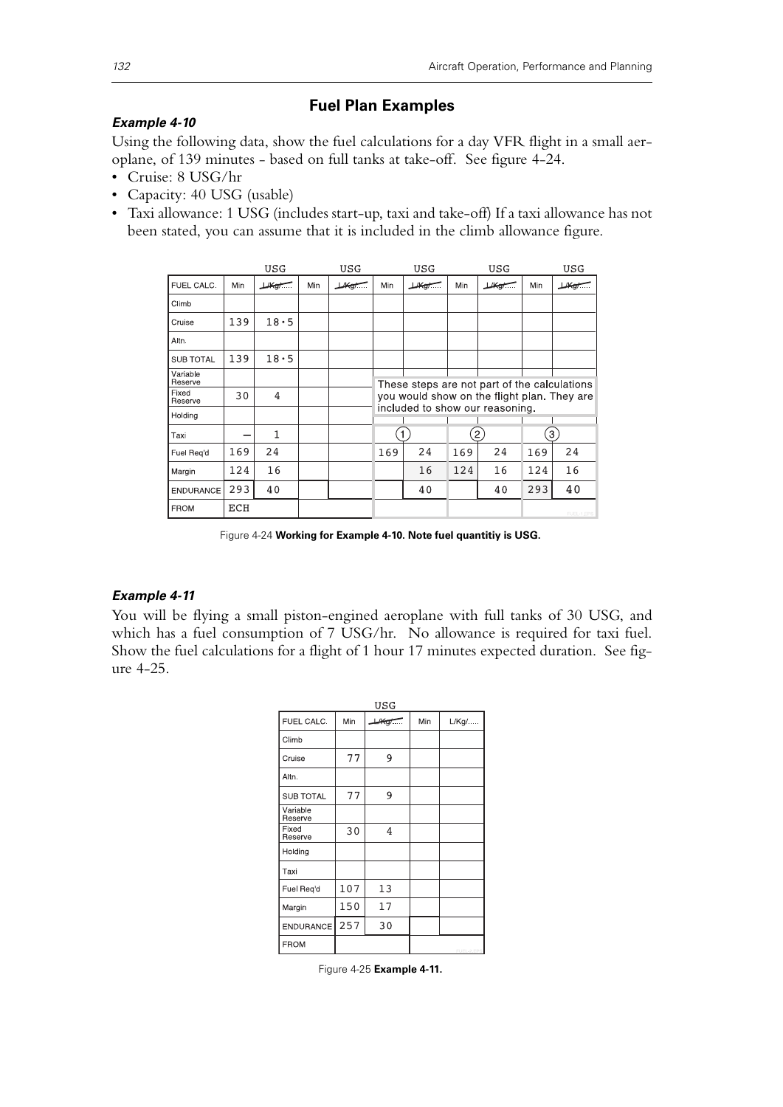# **Fuel Plan Examples**

### *Example 4-10*

Using the following data, show the fuel calculations for a day VFR flight in a small aeroplane, of 139 minutes - based on full tanks at take-off. See figure 4-24.

- Cruise: 8 USG/hr
- Capacity: 40 USG (usable)
- Taxi allowance: 1 USG (includes start-up, taxi and take-off) If a taxi allowance has not been stated, you can assume that it is included in the climb allowance figure.

|                     |     | USG              |     | USG              |                                                                                                                                | USG              |     | USG             |     | USG               |
|---------------------|-----|------------------|-----|------------------|--------------------------------------------------------------------------------------------------------------------------------|------------------|-----|-----------------|-----|-------------------|
| FUEL CALC.          | Min | $H$ $\leftarrow$ | Min | $\mu_{\text{g}}$ | Min                                                                                                                            | $\mu_{\text{G}}$ | Min | $\mu$ Kg/ $\pi$ | Min | $\mu_{\text{kg}}$ |
| Climb               |     |                  |     |                  |                                                                                                                                |                  |     |                 |     |                   |
| Cruise              | 139 | 18.5             |     |                  |                                                                                                                                |                  |     |                 |     |                   |
| Altn.               |     |                  |     |                  |                                                                                                                                |                  |     |                 |     |                   |
| <b>SUB TOTAL</b>    | 139 | 18.5             |     |                  |                                                                                                                                |                  |     |                 |     |                   |
| Variable<br>Reserve |     |                  |     |                  |                                                                                                                                |                  |     |                 |     |                   |
| Fixed<br>Reserve    | 30  | 4                |     |                  | These steps are not part of the calculations<br>you would show on the flight plan. They are<br>included to show our reasoning. |                  |     |                 |     |                   |
| Holding             |     |                  |     |                  |                                                                                                                                |                  |     |                 |     |                   |
| Taxi                |     | 1                |     |                  | $\mathbf{1}$                                                                                                                   |                  |     | $\mathbf{2}$    |     | 3                 |
| Fuel Reg'd          | 169 | 24               |     |                  | 169                                                                                                                            | 24               | 169 | 24              | 169 | 24                |
| Margin              | 124 | 16               |     |                  |                                                                                                                                | 16               | 124 | 16              | 124 | 16                |
| <b>ENDURANCE</b>    | 293 | 40               |     |                  |                                                                                                                                | 40               |     | 40              | 293 | 40                |
| <b>FROM</b>         | ECH |                  |     |                  |                                                                                                                                |                  |     |                 |     | FUEL-1.EPS        |

Figure 4-24 **Working for Example 4-10. Note fuel quantitiy is USG.**

# *Example 4-11*

You will be flying a small piston-engined aeroplane with full tanks of 30 USG, and which has a fuel consumption of 7 USG/hr. No allowance is required for taxi fuel. Show the fuel calculations for a flight of 1 hour 17 minutes expected duration. See figure 4-25.

| USG                 |     |                                |     |               |  |  |  |
|---------------------|-----|--------------------------------|-----|---------------|--|--|--|
| FUEL CALC.          | Min | $H \left( \frac{1}{2} \right)$ | Min | $L/Kg/\ldots$ |  |  |  |
| Climb               |     |                                |     |               |  |  |  |
| Cruise              | 77  | 9                              |     |               |  |  |  |
| Altn.               |     |                                |     |               |  |  |  |
| <b>SUB TOTAL</b>    | 77  | 9                              |     |               |  |  |  |
| Variable<br>Reserve |     |                                |     |               |  |  |  |
| Fixed<br>Reserve    | 30  | 4                              |     |               |  |  |  |
| Holding             |     |                                |     |               |  |  |  |
| Taxi                |     |                                |     |               |  |  |  |
| Fuel Req'd          | 107 | 13                             |     |               |  |  |  |
| Margin              | 150 | 17                             |     |               |  |  |  |
| <b>ENDURANCE</b>    | 257 | 30                             |     |               |  |  |  |
| <b>FROM</b>         |     |                                |     | FUEL-2 EPS    |  |  |  |

Figure 4-25 **Example 4-11.**